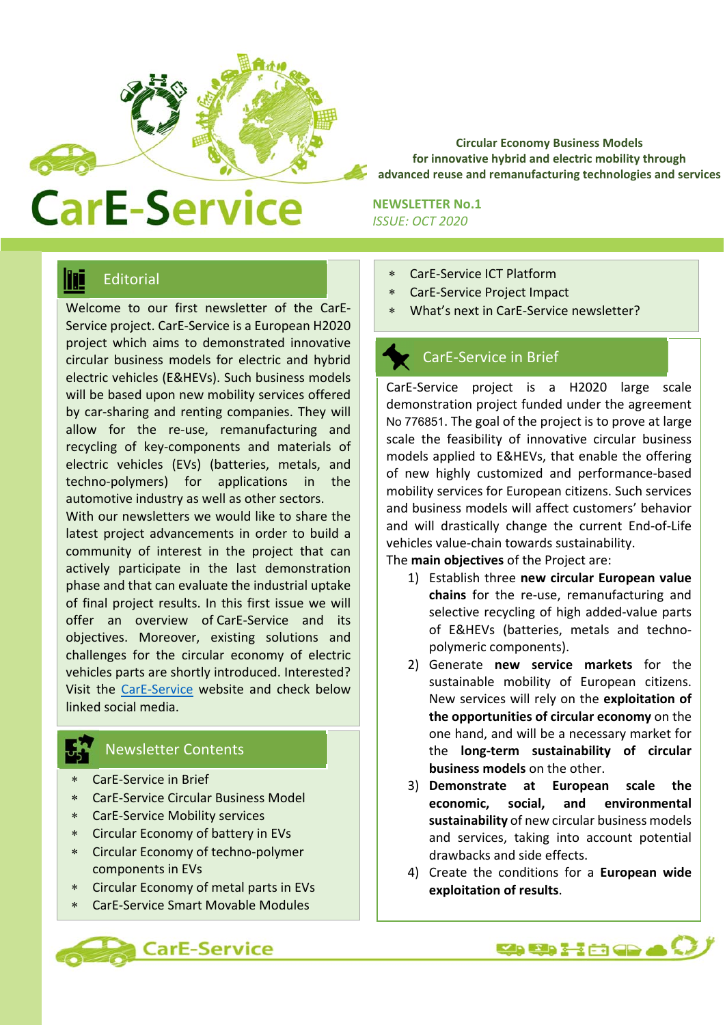

**Circular Economy Business Models for innovative hybrid and electric mobility through advanced reuse and remanufacturing technologies and services** 

# **CarE-Service**

**NEWSLETTER No.1**  *ISSUE: OCT 2020* 

### **Editorial**

Welcome to our first newsletter of the CarE-Service project. CarE‐Service is a European H2020 project which aims to demonstrated innovative circular business models for electric and hybrid electric vehicles (E&HEVs). Such business models will be based upon new mobility services offered by car-sharing and renting companies. They will allow for the re‐use, remanufacturing and recycling of key‐components and materials of electric vehicles (EVs) (batteries, metals, and techno‐polymers) for applications in the automotive industry as well as other sectors.

With our newsletters we would like to share the latest project advancements in order to build a community of interest in the project that can actively participate in the last demonstration phase and that can evaluate the industrial uptake of final project results. In this first issue we will offer an overview of CarE‐Service and its objectives. Moreover, existing solutions and challenges for the circular economy of electric vehicles parts are shortly introduced. Interested? Visit the CarE‐Service website and check below linked social media.

#### Newsletter Contents

- CarE‐Service in Brief
- CarE‐Service Circular Business Model
- CarE‐Service Mobility services
- Circular Economy of battery in EVs
- Circular Economy of techno‐polymer components in EVs
- Circular Economy of metal parts in EVs
- CarE‐Service Smart Movable Modules



- CarE‐Service ICT Platform
- CarE‐Service Project Impact
- What's next in CarE‐Service newsletter?

#### CarE‐Service in Brief

CarE‐Service project is a H2020 large scale demonstration project funded under the agreement No 776851. The goal of the project is to prove at large scale the feasibility of innovative circular business models applied to E&HEVs, that enable the offering of new highly customized and performance‐based mobility services for European citizens. Such services and business models will affect customers' behavior and will drastically change the current End‐of‐Life vehicles value‐chain towards sustainability.

The **main objectives** of the Project are:

- 1) Establish three **new circular European value**  chains for the re-use, remanufacturing and selective recycling of high added‐value parts of E&HEVs (batteries, metals and techno‐ polymeric components).
- 2) Generate **new service markets** for the sustainable mobility of European citizens. New services will rely on the **exploitation of the opportunities of circular economy** on the one hand, and will be a necessary market for the **long‐term sustainability of circular business models** on the other.
- 3) **Demonstrate at European scale the economic, social, and environmental sustainability** of new circular business models and services, taking into account potential drawbacks and side effects.
- 4) Create the conditions for a **European wide exploitation of results**.

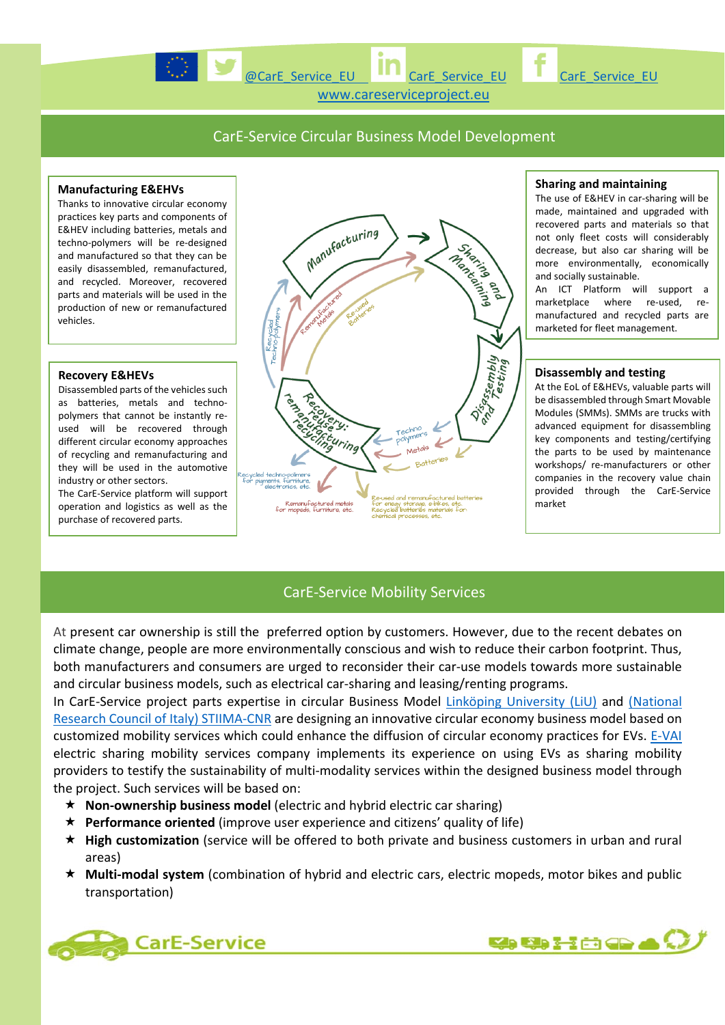



www.careserviceproject.eu

#### CarE‐Service Circular Business Model Development

#### **Manufacturing E&EHVs**

Thanks to innovative circular economy practices key parts and components of E&HEV including batteries, metals and techno‐polymers will be re‐designed and manufactured so that they can be easily disassembled, remanufactured, and recycled. Moreover, recovered parts and materials will be used in the production of new or remanufactured vehicles.

#### **Recovery E&HEVs**

Disassembled parts of the vehicles such as batteries, metals and techno‐ polymers that cannot be instantly reused will be recovered through different circular economy approaches of recycling and remanufacturing and they will be used in the automotive industry or other sectors.

The CarE‐Service platform will support operation and logistics as well as the purchase of recovered parts.



#### **Sharing and maintaining**

The use of E&HEV in car-sharing will be made, maintained and upgraded with recovered parts and materials so that not only fleet costs will considerably decrease, but also car sharing will be more environmentally, economically and socially sustainable. An ICT Platform will support a

marketplace where re-used, remanufactured and recycled parts are marketed for fleet management.

#### **Disassembly and testing**

At the EoL of E&HEVs, valuable parts will be disassembled through Smart Movable Modules (SMMs). SMMs are trucks with advanced equipment for disassembling key components and testing/certifying the parts to be used by maintenance workshops/ re‐manufacturers or other companies in the recovery value chain provided through the CarE‐Service market

#### CarE‐Service Mobility Services

At present car ownership is still the preferred option by customers. However, due to the recent debates on climate change, people are more environmentally conscious and wish to reduce their carbon footprint. Thus, both manufacturers and consumers are urged to reconsider their car-use models towards more sustainable and circular business models, such as electrical car-sharing and leasing/renting programs.

In CarE-Service project parts expertise in circular Business Model Linköping University (LiU) and (National Research Council of Italy) STIIMA-CNR are designing an innovative circular economy business model based on customized mobility services which could enhance the diffusion of circular economy practices for EVs. E‐VAI electric sharing mobility services company implements its experience on using EVs as sharing mobility providers to testify the sustainability of multi‐modality services within the designed business model through the project. Such services will be based on:

- **Non‐ownership business model** (electric and hybrid electric car sharing)
- **Performance oriented** (improve user experience and citizens' quality of life)
- **High customization** (service will be offered to both private and business customers in urban and rural areas)
- **Multi‐modal system** (combination of hybrid and electric cars, electric mopeds, motor bikes and public transportation)



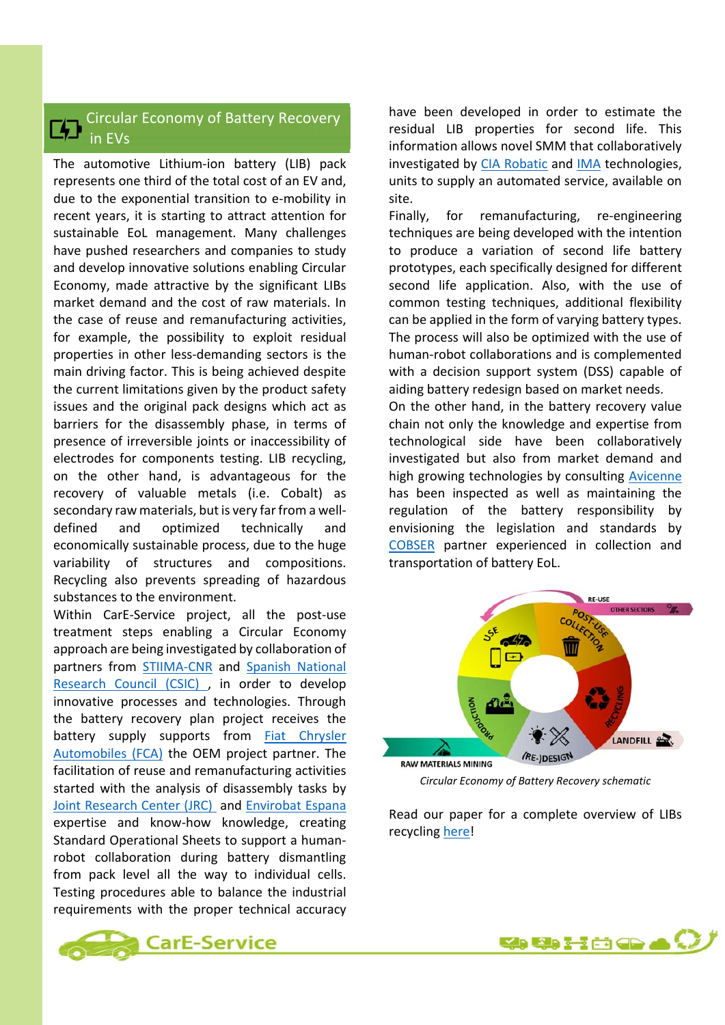#### Circular Economy of Battery Recovery in EVs

The automotive Lithium-ion battery (LIB) pack represents one third of the total cost of an EV and, due to the exponential transition to e‐mobility in recent years, it is starting to attract attention for sustainable EoL management. Many challenges have pushed researchers and companies to study and develop innovative solutions enabling Circular Economy, made attractive by the significant LIBs market demand and the cost of raw materials. In the case of reuse and remanufacturing activities, for example, the possibility to exploit residual properties in other less‐demanding sectors is the main driving factor. This is being achieved despite the current limitations given by the product safety issues and the original pack designs which act as barriers for the disassembly phase, in terms of presence of irreversible joints or inaccessibility of electrodes for components testing. LIB recycling, on the other hand, is advantageous for the recovery of valuable metals (i.e. Cobalt) as secondary raw materials, but is very far from a well‐ defined and optimized technically and economically sustainable process, due to the huge variability of structures and compositions. Recycling also prevents spreading of hazardous substances to the environment.

Within CarE-Service project, all the post-use treatment steps enabling a Circular Economy approach are being investigated by collaboration of partners from **STIIMA-CNR** and **Spanish National** Research Council (CSIC) , in order to develop innovative processes and technologies. Through the battery recovery plan project receives the battery supply supports from Fiat Chrysler Automobiles (FCA) the OEM project partner. The facilitation of reuse and remanufacturing activities started with the analysis of disassembly tasks by Joint Research Center (JRC) and Envirobat Espana expertise and know‐how knowledge, creating Standard Operational Sheets to support a human‐ robot collaboration during battery dismantling from pack level all the way to individual cells. Testing procedures able to balance the industrial requirements with the proper technical accuracy

have been developed in order to estimate the residual LIB properties for second life. This information allows novel SMM that collaboratively investigated by CIA Robatic and IMA technologies, units to supply an automated service, available on site.

Finally, for remanufacturing, re-engineering techniques are being developed with the intention to produce a variation of second life battery prototypes, each specifically designed for different second life application. Also, with the use of common testing techniques, additional flexibility can be applied in the form of varying battery types. The process will also be optimized with the use of human‐robot collaborations and is complemented with a decision support system (DSS) capable of aiding battery redesign based on market needs.

On the other hand, in the battery recovery value chain not only the knowledge and expertise from technological side have been collaboratively investigated but also from market demand and high growing technologies by consulting Avicenne has been inspected as well as maintaining the regulation of the battery responsibility by envisioning the legislation and standards by COBSER partner experienced in collection and transportation of battery EoL.



*Circular Economy of Battery Recovery schematic* 

Read our paper for a complete overview of LIBs recycling here!



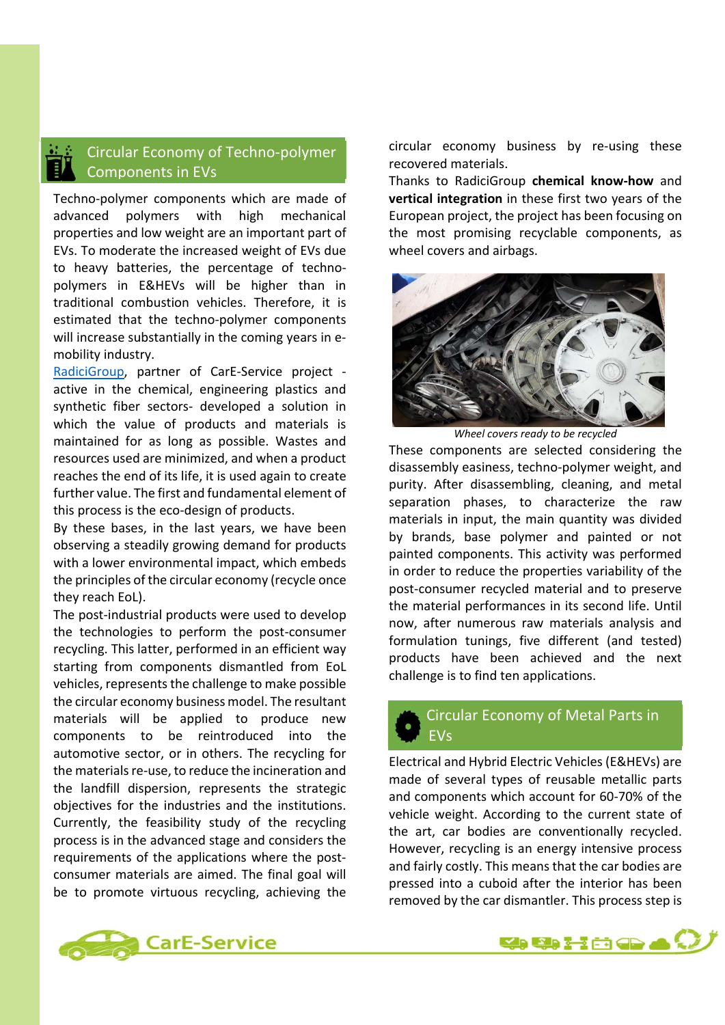#### Circular Economy of Techno‐polymer Components in EVs

Techno‐polymer components which are made of advanced polymers with high mechanical properties and low weight are an important part of EVs. To moderate the increased weight of EVs due to heavy batteries, the percentage of techno‐ polymers in E&HEVs will be higher than in traditional combustion vehicles. Therefore, it is estimated that the techno‐polymer components will increase substantially in the coming years in emobility industry.

RadiciGroup, partner of CarE‐Service project ‐ active in the chemical, engineering plastics and synthetic fiber sectors- developed a solution in which the value of products and materials is maintained for as long as possible. Wastes and resources used are minimized, and when a product reaches the end of its life, it is used again to create further value. The first and fundamental element of this process is the eco‐design of products.

By these bases, in the last years, we have been observing a steadily growing demand for products with a lower environmental impact, which embeds the principles of the circular economy (recycle once they reach EoL).

The post-industrial products were used to develop the technologies to perform the post‐consumer recycling. This latter, performed in an efficient way starting from components dismantled from EoL vehicles, represents the challenge to make possible the circular economy business model. The resultant materials will be applied to produce new components to be reintroduced into the automotive sector, or in others. The recycling for the materials re‐use, to reduce the incineration and the landfill dispersion, represents the strategic objectives for the industries and the institutions. Currently, the feasibility study of the recycling process is in the advanced stage and considers the requirements of the applications where the postconsumer materials are aimed. The final goal will be to promote virtuous recycling, achieving the



Thanks to RadiciGroup **chemical know‐how** and **vertical integration** in these first two years of the European project, the project has been focusing on the most promising recyclable components, as wheel covers and airbags.



*Wheel covers ready to be recycled*

These components are selected considering the disassembly easiness, techno‐polymer weight, and purity. After disassembling, cleaning, and metal separation phases, to characterize the raw materials in input, the main quantity was divided by brands, base polymer and painted or not painted components. This activity was performed in order to reduce the properties variability of the post‐consumer recycled material and to preserve the material performances in its second life. Until now, after numerous raw materials analysis and formulation tunings, five different (and tested) products have been achieved and the next challenge is to find ten applications.

#### Circular Economy of Metal Parts in EVs

Electrical and Hybrid Electric Vehicles (E&HEVs) are made of several types of reusable metallic parts and components which account for 60‐70% of the vehicle weight. According to the current state of the art, car bodies are conventionally recycled. However, recycling is an energy intensive process and fairly costly. This means that the car bodies are pressed into a cuboid after the interior has been removed by the car dismantler. This process step is



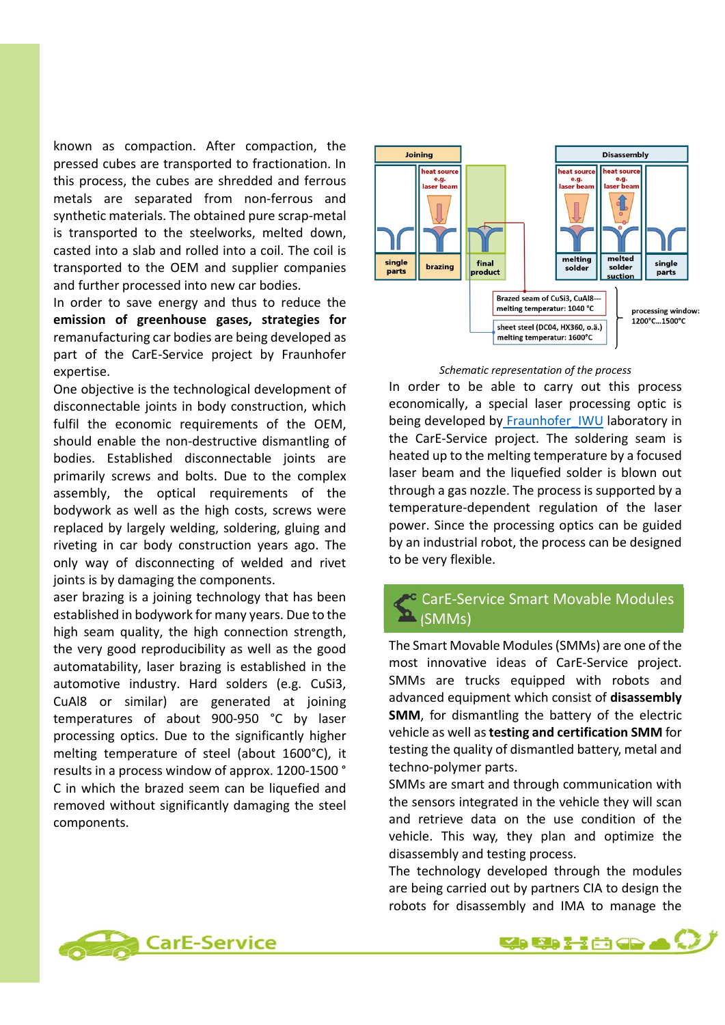known as compaction. After compaction, the pressed cubes are transported to fractionation. In this process, the cubes are shredded and ferrous metals are separated from non‐ferrous and synthetic materials. The obtained pure scrap‐metal is transported to the steelworks, melted down, casted into a slab and rolled into a coil. The coil is transported to the OEM and supplier companies and further processed into new car bodies.

In order to save energy and thus to reduce the **emission of greenhouse gases, strategies for** remanufacturing car bodies are being developed as part of the CarE-Service project by Fraunhofer expertise.

One objective is the technological development of disconnectable joints in body construction, which fulfil the economic requirements of the OEM, should enable the non‐destructive dismantling of bodies. Established disconnectable joints are primarily screws and bolts. Due to the complex assembly, the optical requirements of the bodywork as well as the high costs, screws were replaced by largely welding, soldering, gluing and riveting in car body construction years ago. The only way of disconnecting of welded and rivet joints is by damaging the components.

aser brazing is a joining technology that has been established in bodywork for many years. Due to the high seam quality, the high connection strength, the very good reproducibility as well as the good automatability, laser brazing is established in the automotive industry. Hard solders (e.g. CuSi3, CuAl8 or similar) are generated at joining temperatures of about 900‐950 °C by laser processing optics. Due to the significantly higher melting temperature of steel (about 1600°C), it results in a process window of approx. 1200‐1500 ° C in which the brazed seem can be liquefied and removed without significantly damaging the steel components.



#### *Schematic representation of the process*

In order to be able to carry out this process economically, a special laser processing optic is being developed by Fraunhofer IWU laboratory in the CarE‐Service project. The soldering seam is heated up to the melting temperature by a focused laser beam and the liquefied solder is blown out through a gas nozzle. The process is supported by a temperature‐dependent regulation of the laser power. Since the processing optics can be guided by an industrial robot, the process can be designed to be very flexible.

#### CarE‐Service Smart Movable Modules (SMMs)

The Smart Movable Modules (SMMs) are one of the most innovative ideas of CarE-Service project. SMMs are trucks equipped with robots and advanced equipment which consist of **disassembly SMM**, for dismantling the battery of the electric vehicle as well as **testing and certification SMM** for testing the quality of dismantled battery, metal and techno‐polymer parts.

SMMs are smart and through communication with the sensors integrated in the vehicle they will scan and retrieve data on the use condition of the vehicle. This way, they plan and optimize the disassembly and testing process.

The technology developed through the modules are being carried out by partners CIA to design the robots for disassembly and IMA to manage the



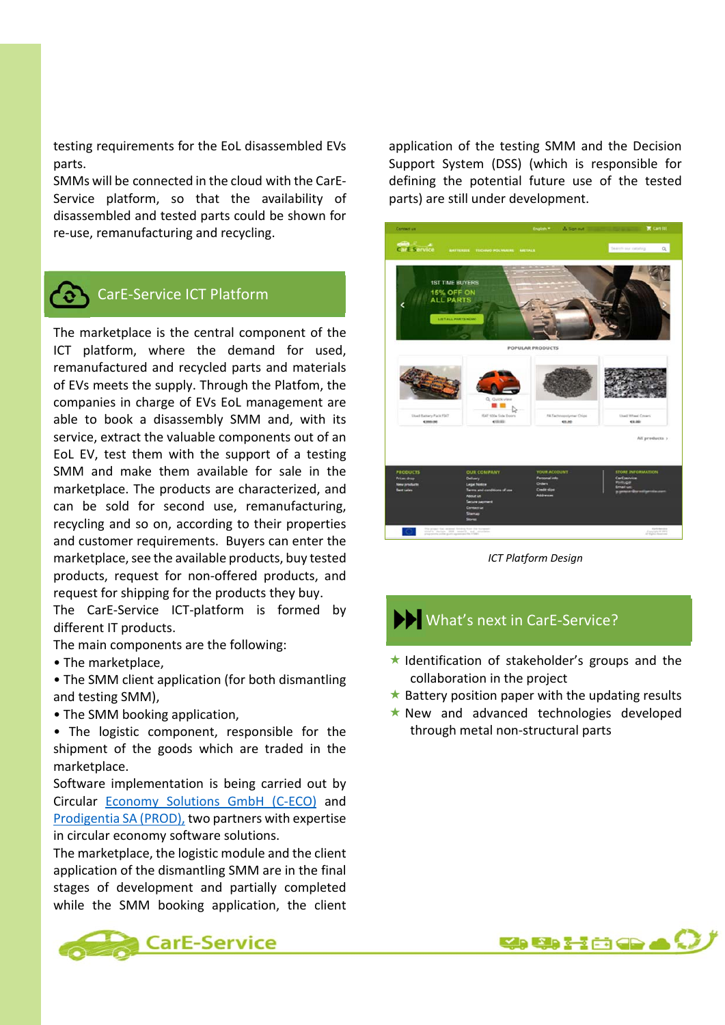testing requirements for the EoL disassembled EVs parts.

SMMs will be connected in the cloud with the CarE‐ Service platform, so that the availability of disassembled and tested parts could be shown for re‐use, remanufacturing and recycling.



#### CarE‐Service ICT Platform

The marketplace is the central component of the ICT platform, where the demand for used, remanufactured and recycled parts and materials of EVs meets the supply. Through the Platfom, the companies in charge of EVs EoL management are able to book a disassembly SMM and, with its service, extract the valuable components out of an EoL EV, test them with the support of a testing SMM and make them available for sale in the marketplace. The products are characterized, and can be sold for second use, remanufacturing, recycling and so on, according to their properties and customer requirements. Buyers can enter the marketplace, see the available products, buy tested products, request for non‐offered products, and request for shipping for the products they buy.

The CarE-Service ICT-platform is formed by different IT products.

The main components are the following:

• The marketplace,

• The SMM client application (for both dismantling and testing SMM),

• The SMM booking application,

• The logistic component, responsible for the shipment of the goods which are traded in the marketplace.

Software implementation is being carried out by Circular Economy Solutions GmbH (C‐ECO) and Prodigentia SA (PROD), two partners with expertise in circular economy software solutions.

The marketplace, the logistic module and the client application of the dismantling SMM are in the final stages of development and partially completed while the SMM booking application, the client





*ICT Platform Design* 

#### What's next in CarE-Service?

- $\star$  Identification of stakeholder's groups and the collaboration in the project
- $\star$  Battery position paper with the updating results
- $\star$  New and advanced technologies developed through metal non‐structural parts



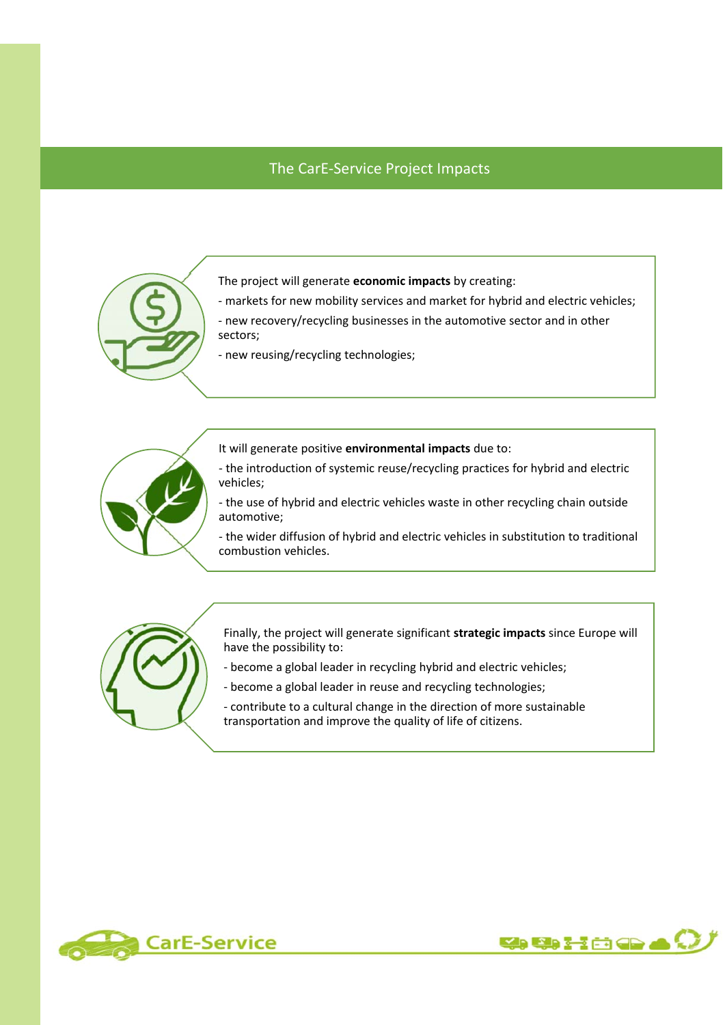#### The CarE‐Service Project Impacts



The project will generate **economic impacts** by creating:

‐ markets for new mobility services and market for hybrid and electric vehicles;

‐ new recovery/recycling businesses in the automotive sector and in other sectors;

‐ new reusing/recycling technologies;



It will generate positive **environmental impacts** due to:

‐ the introduction of systemic reuse/recycling practices for hybrid and electric vehicles;

‐ the use of hybrid and electric vehicles waste in other recycling chain outside automotive;

‐ the wider diffusion of hybrid and electric vehicles in substitution to traditional combustion vehicles.



Finally, the project will generate significant **strategic impacts** since Europe will have the possibility to:

- ‐ become a global leader in recycling hybrid and electric vehicles;
- ‐ become a global leader in reuse and recycling technologies;

‐ contribute to a cultural change in the direction of more sustainable transportation and improve the quality of life of citizens.